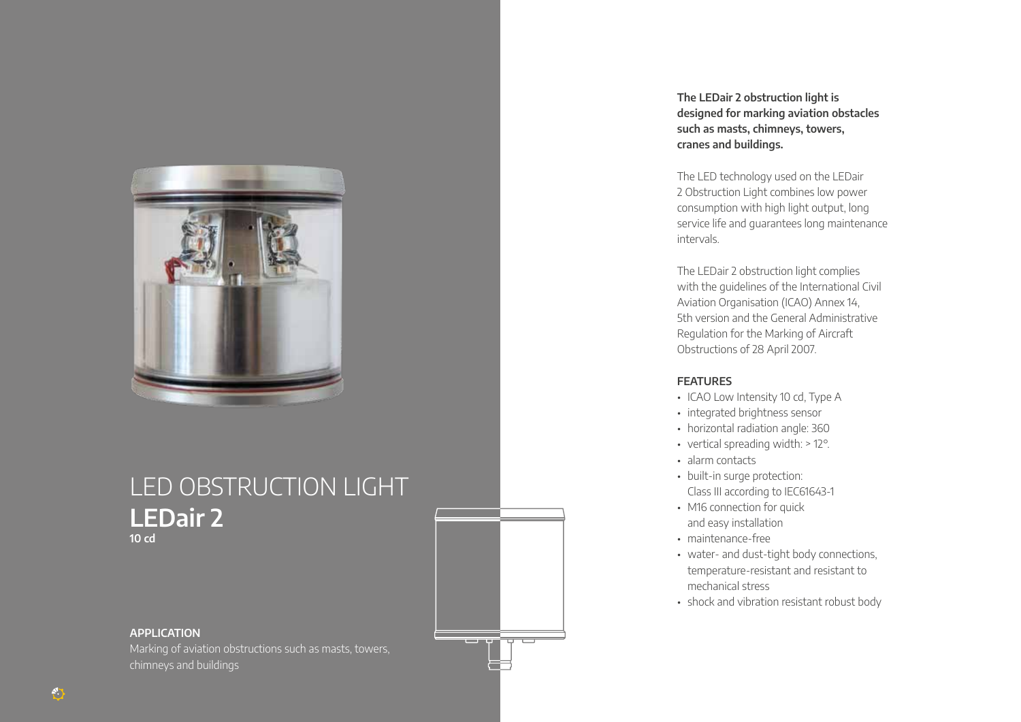

## LED OBSTRUCTION LIGHT **LEDair 2 10 cd**

## **APPLICATION**

Marking of aviation obstructions such as masts, towers, chimneys and buildings

**Contract Contract** 

**The LEDair 2 obstruction light is designed for marking aviation obstacles such as masts, chimneys, towers, cranes and buildings.**

The LED technology used on the LEDair 2 Obstruction Light combines low power consumption with high light output, long service life and guarantees long maintenance intervals.

The LEDair 2 obstruction light complies with the guidelines of the International Civil Aviation Organisation (ICAO) Annex 14, 5th version and the General Administrative Regulation for the Marking of Aircraft Obstructions of 28 April 2007.

## **FEATURES**

- ICAO Low Intensity 10 cd, Type A
- integrated brightness sensor
- horizontal radiation angle: 360
- vertical spreading width: > 12°.
- alarm contacts
- built-in surge protection: Class III according to IEC61643-1
- M16 connection for quick and easy installation
- maintenance-free
- water- and dust-tight body connections, temperature-resistant and resistant to mechanical stress
- shock and vibration resistant robust body

 $\binom{N}{i}$